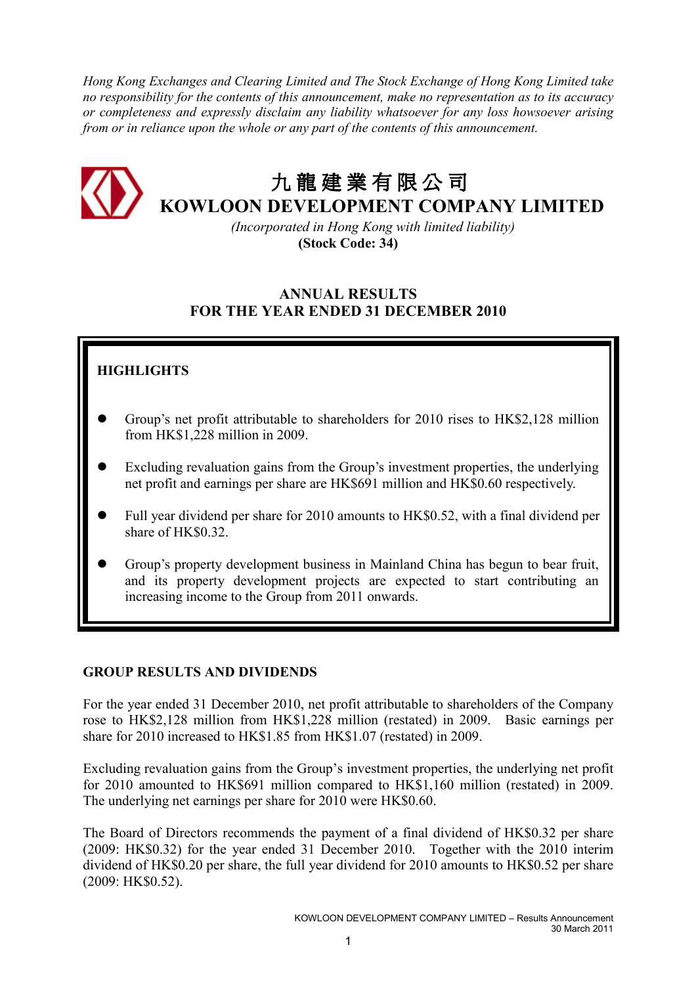Hong Kong Exchanges and Clearing Limited and The Stock Exchange of Hong Kong Limited take no responsibility for the contents of this announcement, make no representation as to its accuracy or completeness and expressly disclaim any liability whatsoever for any loss howsoever arising from or in reliance upon the whole or any part of the contents of this announcement.



# 九 龍建業有限公司 KOWLOON DEVELOPMENT COMPANY LIMITED

 (Incorporated in Hong Kong with limited liability) (Stock Code: 34)

# ANNUAL RESULTS FOR THE YEAR ENDED 31 DECEMBER 2010

# **HIGHLIGHTS**

- Group's net profit attributable to shareholders for 2010 rises to HK\$2,128 million from HK\$1,228 million in 2009.
- Excluding revaluation gains from the Group's investment properties, the underlying net profit and earnings per share are HK\$691 million and HK\$0.60 respectively.
- Full year dividend per share for 2010 amounts to HK\$0.52, with a final dividend per share of HK\$0.32.
- Group's property development business in Mainland China has begun to bear fruit, and its property development projects are expected to start contributing an increasing income to the Group from 2011 onwards.

# GROUP RESULTS AND DIVIDENDS

For the year ended 31 December 2010, net profit attributable to shareholders of the Company rose to HK\$2,128 million from HK\$1,228 million (restated) in 2009. Basic earnings per share for 2010 increased to HK\$1.85 from HK\$1.07 (restated) in 2009.

Excluding revaluation gains from the Group's investment properties, the underlying net profit for 2010 amounted to HK\$691 million compared to HK\$1,160 million (restated) in 2009. The underlying net earnings per share for 2010 were HK\$0.60.

The Board of Directors recommends the payment of a final dividend of HK\$0.32 per share (2009: HK\$0.32) for the year ended 31 December 2010. Together with the 2010 interim dividend of HK\$0.20 per share, the full year dividend for 2010 amounts to HK\$0.52 per share (2009: HK\$0.52).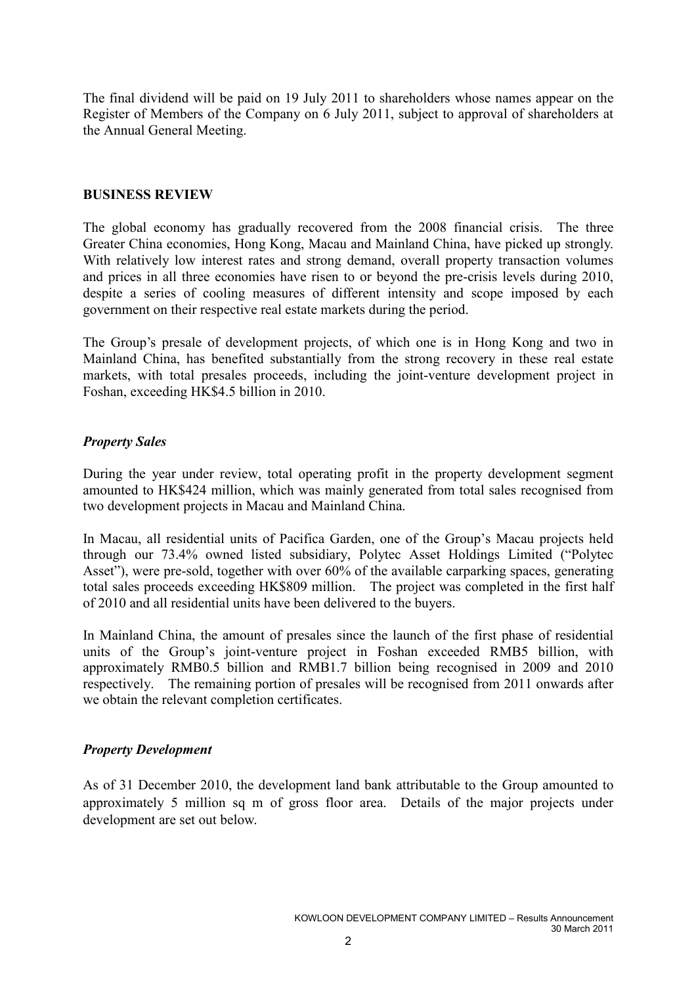The final dividend will be paid on 19 July 2011 to shareholders whose names appear on the Register of Members of the Company on 6 July 2011, subject to approval of shareholders at the Annual General Meeting.

# BUSINESS REVIEW

The global economy has gradually recovered from the 2008 financial crisis. The three Greater China economies, Hong Kong, Macau and Mainland China, have picked up strongly. With relatively low interest rates and strong demand, overall property transaction volumes and prices in all three economies have risen to or beyond the pre-crisis levels during 2010, despite a series of cooling measures of different intensity and scope imposed by each government on their respective real estate markets during the period.

The Group's presale of development projects, of which one is in Hong Kong and two in Mainland China, has benefited substantially from the strong recovery in these real estate markets, with total presales proceeds, including the joint-venture development project in Foshan, exceeding HK\$4.5 billion in 2010.

# Property Sales

During the year under review, total operating profit in the property development segment amounted to HK\$424 million, which was mainly generated from total sales recognised from two development projects in Macau and Mainland China.

In Macau, all residential units of Pacifica Garden, one of the Group's Macau projects held through our 73.4% owned listed subsidiary, Polytec Asset Holdings Limited ("Polytec Asset"), were pre-sold, together with over 60% of the available carparking spaces, generating total sales proceeds exceeding HK\$809 million. The project was completed in the first half of 2010 and all residential units have been delivered to the buyers.

In Mainland China, the amount of presales since the launch of the first phase of residential units of the Group's joint-venture project in Foshan exceeded RMB5 billion, with approximately RMB0.5 billion and RMB1.7 billion being recognised in 2009 and 2010 respectively. The remaining portion of presales will be recognised from 2011 onwards after we obtain the relevant completion certificates.

# Property Development

As of 31 December 2010, the development land bank attributable to the Group amounted to approximately 5 million sq m of gross floor area. Details of the major projects under development are set out below.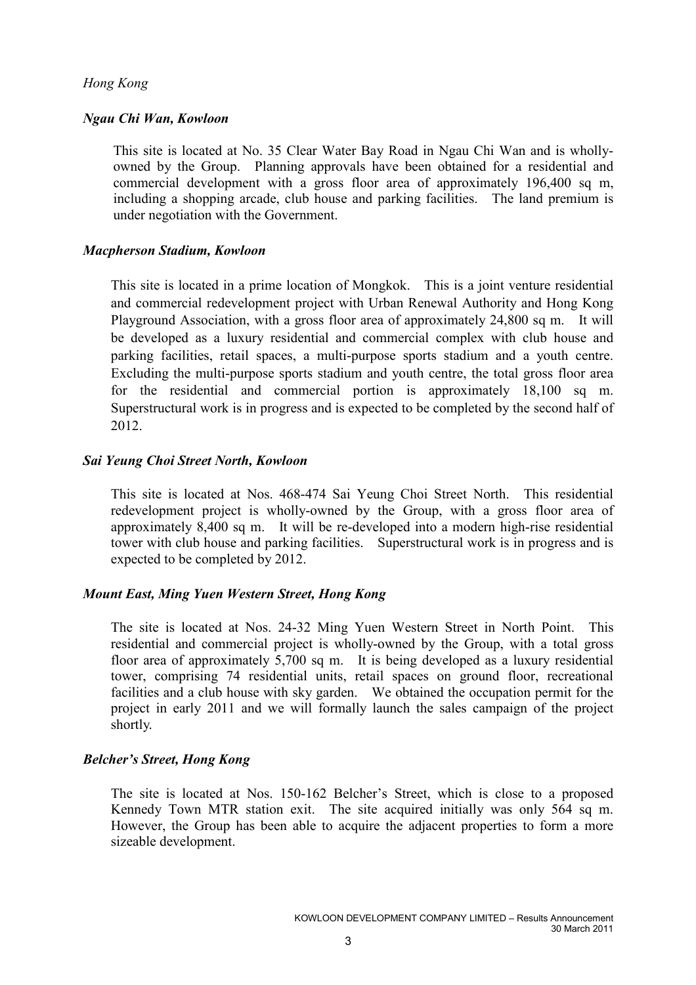# Hong Kong

### Ngau Chi Wan, Kowloon

This site is located at No. 35 Clear Water Bay Road in Ngau Chi Wan and is whollyowned by the Group. Planning approvals have been obtained for a residential and commercial development with a gross floor area of approximately 196,400 sq m, including a shopping arcade, club house and parking facilities. The land premium is under negotiation with the Government.

### Macpherson Stadium, Kowloon

This site is located in a prime location of Mongkok. This is a joint venture residential and commercial redevelopment project with Urban Renewal Authority and Hong Kong Playground Association, with a gross floor area of approximately 24,800 sq m. It will be developed as a luxury residential and commercial complex with club house and parking facilities, retail spaces, a multi-purpose sports stadium and a youth centre. Excluding the multi-purpose sports stadium and youth centre, the total gross floor area for the residential and commercial portion is approximately 18,100 sq m. Superstructural work is in progress and is expected to be completed by the second half of 2012.

### Sai Yeung Choi Street North, Kowloon

This site is located at Nos. 468-474 Sai Yeung Choi Street North. This residential redevelopment project is wholly-owned by the Group, with a gross floor area of approximately 8,400 sq m. It will be re-developed into a modern high-rise residential tower with club house and parking facilities. Superstructural work is in progress and is expected to be completed by 2012.

# Mount East, Ming Yuen Western Street, Hong Kong

The site is located at Nos. 24-32 Ming Yuen Western Street in North Point. This residential and commercial project is wholly-owned by the Group, with a total gross floor area of approximately 5,700 sq m. It is being developed as a luxury residential tower, comprising 74 residential units, retail spaces on ground floor, recreational facilities and a club house with sky garden. We obtained the occupation permit for the project in early 2011 and we will formally launch the sales campaign of the project shortly.

# Belcher's Street, Hong Kong

The site is located at Nos. 150-162 Belcher's Street, which is close to a proposed Kennedy Town MTR station exit. The site acquired initially was only 564 sq m. However, the Group has been able to acquire the adjacent properties to form a more sizeable development.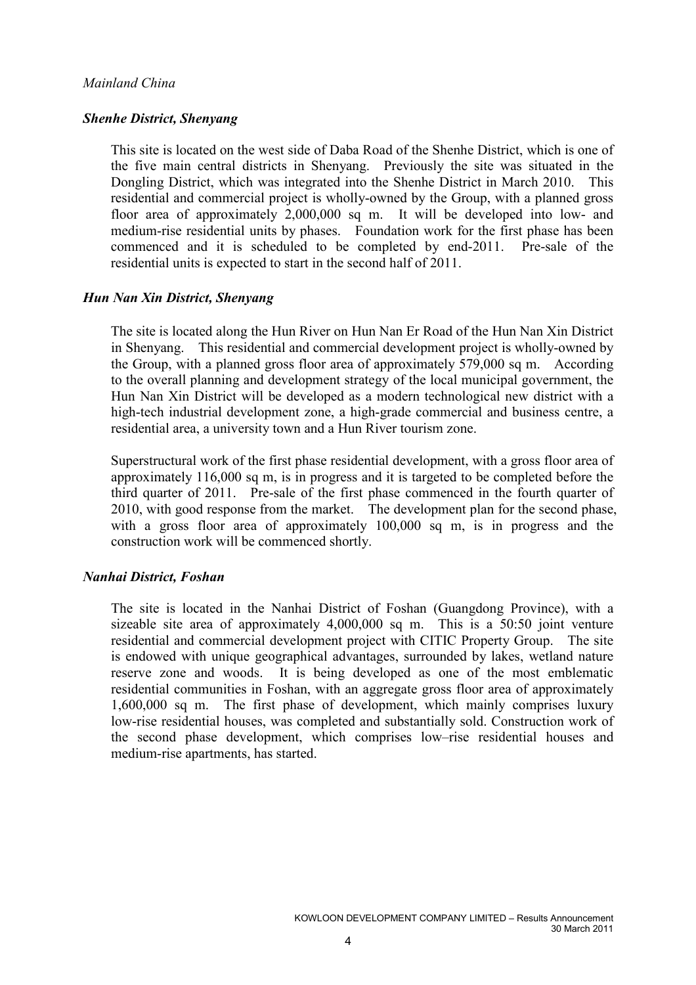# Mainland China

### Shenhe District, Shenyang

This site is located on the west side of Daba Road of the Shenhe District, which is one of the five main central districts in Shenyang. Previously the site was situated in the Dongling District, which was integrated into the Shenhe District in March 2010. This residential and commercial project is wholly-owned by the Group, with a planned gross floor area of approximately 2,000,000 sq m. It will be developed into low- and medium-rise residential units by phases. Foundation work for the first phase has been commenced and it is scheduled to be completed by end-2011. Pre-sale of the residential units is expected to start in the second half of 2011.

### Hun Nan Xin District, Shenyang

The site is located along the Hun River on Hun Nan Er Road of the Hun Nan Xin District in Shenyang. This residential and commercial development project is wholly-owned by the Group, with a planned gross floor area of approximately 579,000 sq m. According to the overall planning and development strategy of the local municipal government, the Hun Nan Xin District will be developed as a modern technological new district with a high-tech industrial development zone, a high-grade commercial and business centre, a residential area, a university town and a Hun River tourism zone.

Superstructural work of the first phase residential development, with a gross floor area of approximately 116,000 sq m, is in progress and it is targeted to be completed before the third quarter of 2011. Pre-sale of the first phase commenced in the fourth quarter of 2010, with good response from the market. The development plan for the second phase, with a gross floor area of approximately 100,000 sq m, is in progress and the construction work will be commenced shortly.

### Nanhai District, Foshan

The site is located in the Nanhai District of Foshan (Guangdong Province), with a sizeable site area of approximately 4,000,000 sq m. This is a 50:50 joint venture residential and commercial development project with CITIC Property Group. The site is endowed with unique geographical advantages, surrounded by lakes, wetland nature reserve zone and woods. It is being developed as one of the most emblematic residential communities in Foshan, with an aggregate gross floor area of approximately 1,600,000 sq m. The first phase of development, which mainly comprises luxury low-rise residential houses, was completed and substantially sold. Construction work of the second phase development, which comprises low–rise residential houses and medium-rise apartments, has started.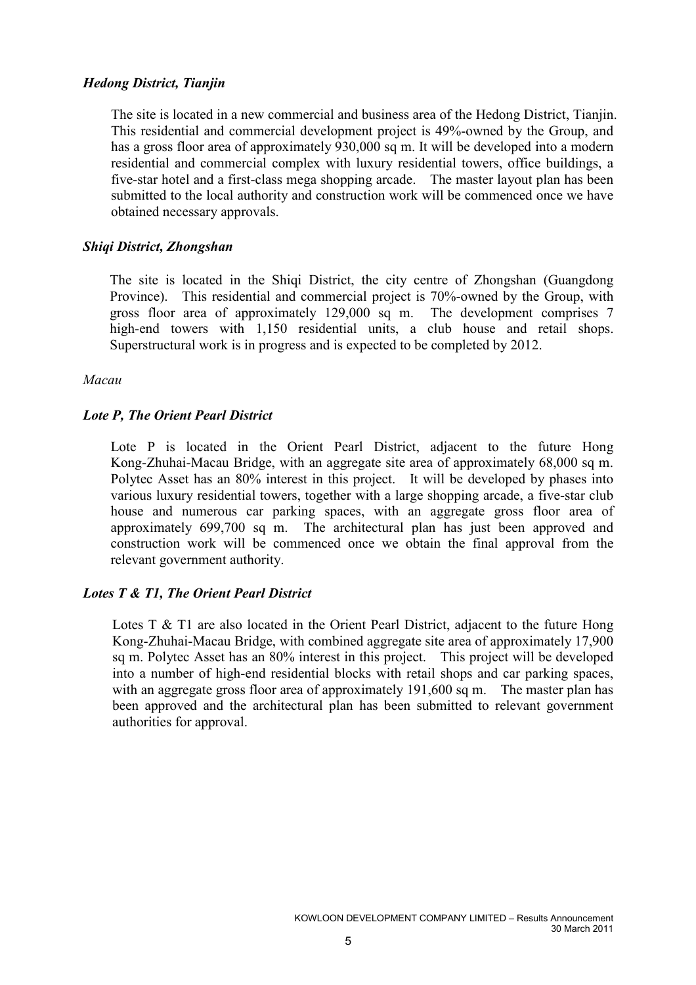# Hedong District, Tianjin

The site is located in a new commercial and business area of the Hedong District, Tianjin. This residential and commercial development project is 49%-owned by the Group, and has a gross floor area of approximately 930,000 sq m. It will be developed into a modern residential and commercial complex with luxury residential towers, office buildings, a five-star hotel and a first-class mega shopping arcade. The master layout plan has been submitted to the local authority and construction work will be commenced once we have obtained necessary approvals.

# Shiqi District, Zhongshan

The site is located in the Shiqi District, the city centre of Zhongshan (Guangdong Province). This residential and commercial project is 70%-owned by the Group, with gross floor area of approximately 129,000 sq m. The development comprises 7 high-end towers with 1,150 residential units, a club house and retail shops. Superstructural work is in progress and is expected to be completed by 2012.

# Macau

# Lote P, The Orient Pearl District

Lote P is located in the Orient Pearl District, adjacent to the future Hong Kong-Zhuhai-Macau Bridge, with an aggregate site area of approximately 68,000 sq m. Polytec Asset has an 80% interest in this project. It will be developed by phases into various luxury residential towers, together with a large shopping arcade, a five-star club house and numerous car parking spaces, with an aggregate gross floor area of approximately 699,700 sq m. The architectural plan has just been approved and construction work will be commenced once we obtain the final approval from the relevant government authority.

# Lotes T & T1, The Orient Pearl District

Lotes T & T1 are also located in the Orient Pearl District, adjacent to the future Hong Kong-Zhuhai-Macau Bridge, with combined aggregate site area of approximately 17,900 sq m. Polytec Asset has an 80% interest in this project. This project will be developed into a number of high-end residential blocks with retail shops and car parking spaces, with an aggregate gross floor area of approximately 191,600 sq m. The master plan has been approved and the architectural plan has been submitted to relevant government authorities for approval.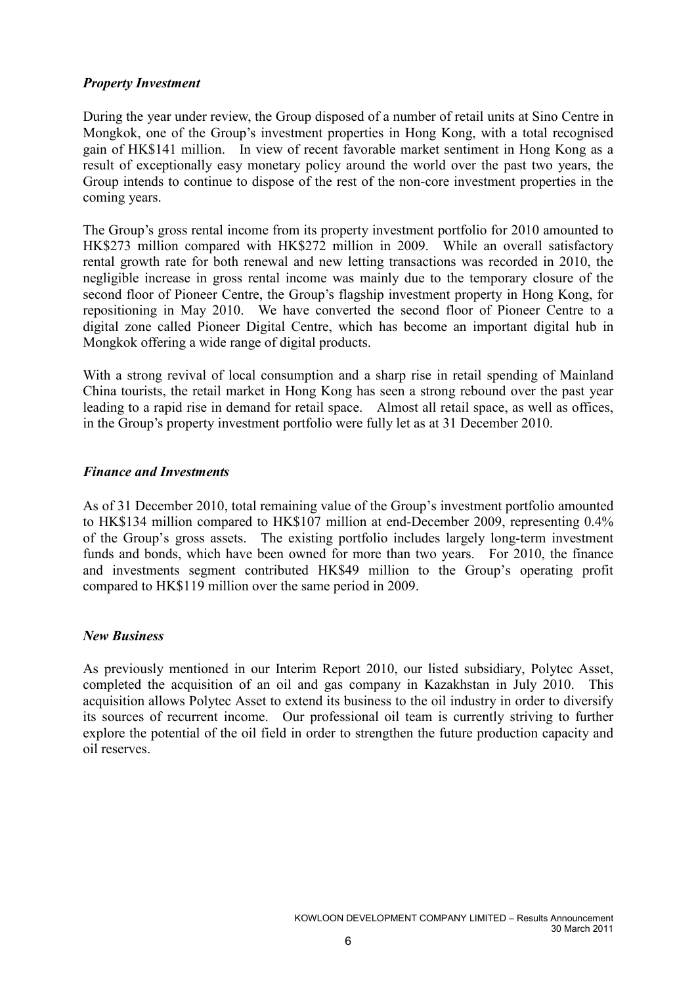# Property Investment

During the year under review, the Group disposed of a number of retail units at Sino Centre in Mongkok, one of the Group's investment properties in Hong Kong, with a total recognised gain of HK\$141 million. In view of recent favorable market sentiment in Hong Kong as a result of exceptionally easy monetary policy around the world over the past two years, the Group intends to continue to dispose of the rest of the non-core investment properties in the coming years.

The Group's gross rental income from its property investment portfolio for 2010 amounted to HK\$273 million compared with HK\$272 million in 2009. While an overall satisfactory rental growth rate for both renewal and new letting transactions was recorded in 2010, the negligible increase in gross rental income was mainly due to the temporary closure of the second floor of Pioneer Centre, the Group's flagship investment property in Hong Kong, for repositioning in May 2010. We have converted the second floor of Pioneer Centre to a digital zone called Pioneer Digital Centre, which has become an important digital hub in Mongkok offering a wide range of digital products.

With a strong revival of local consumption and a sharp rise in retail spending of Mainland China tourists, the retail market in Hong Kong has seen a strong rebound over the past year leading to a rapid rise in demand for retail space. Almost all retail space, as well as offices, in the Group's property investment portfolio were fully let as at 31 December 2010.

# Finance and Investments

As of 31 December 2010, total remaining value of the Group's investment portfolio amounted to HK\$134 million compared to HK\$107 million at end-December 2009, representing 0.4% of the Group's gross assets. The existing portfolio includes largely long-term investment funds and bonds, which have been owned for more than two years. For 2010, the finance and investments segment contributed HK\$49 million to the Group's operating profit compared to HK\$119 million over the same period in 2009.

# New Business

As previously mentioned in our Interim Report 2010, our listed subsidiary, Polytec Asset, completed the acquisition of an oil and gas company in Kazakhstan in July 2010. This acquisition allows Polytec Asset to extend its business to the oil industry in order to diversify its sources of recurrent income. Our professional oil team is currently striving to further explore the potential of the oil field in order to strengthen the future production capacity and oil reserves.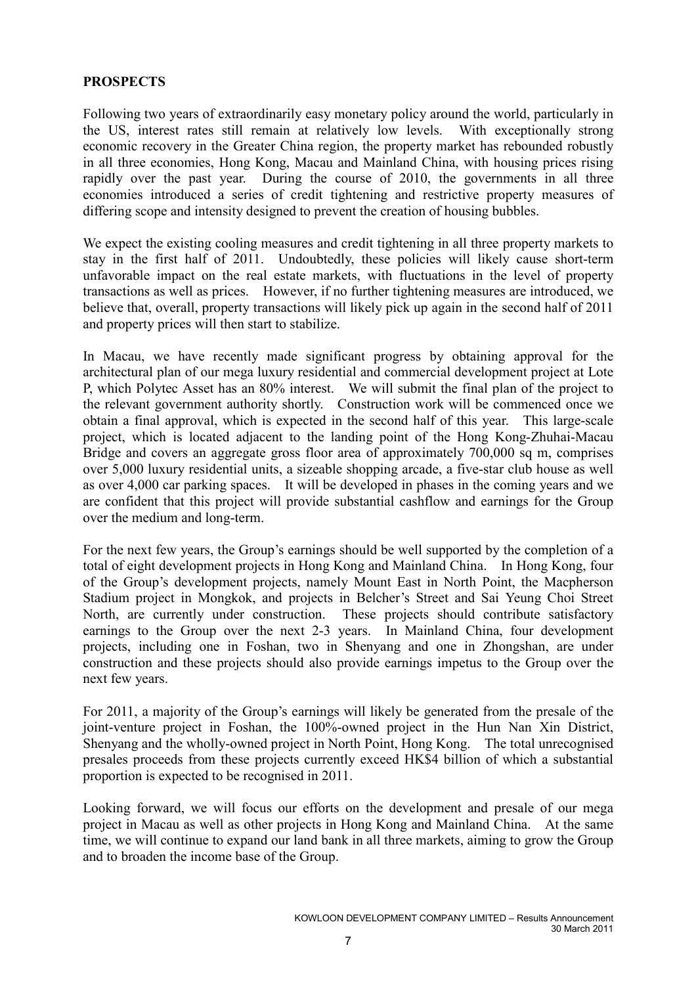# **PROSPECTS**

Following two years of extraordinarily easy monetary policy around the world, particularly in the US, interest rates still remain at relatively low levels. With exceptionally strong economic recovery in the Greater China region, the property market has rebounded robustly in all three economies, Hong Kong, Macau and Mainland China, with housing prices rising rapidly over the past year. During the course of 2010, the governments in all three economies introduced a series of credit tightening and restrictive property measures of differing scope and intensity designed to prevent the creation of housing bubbles.

We expect the existing cooling measures and credit tightening in all three property markets to stay in the first half of 2011. Undoubtedly, these policies will likely cause short-term unfavorable impact on the real estate markets, with fluctuations in the level of property transactions as well as prices. However, if no further tightening measures are introduced, we believe that, overall, property transactions will likely pick up again in the second half of 2011 and property prices will then start to stabilize.

In Macau, we have recently made significant progress by obtaining approval for the architectural plan of our mega luxury residential and commercial development project at Lote P, which Polytec Asset has an 80% interest. We will submit the final plan of the project to the relevant government authority shortly. Construction work will be commenced once we obtain a final approval, which is expected in the second half of this year. This large-scale project, which is located adjacent to the landing point of the Hong Kong-Zhuhai-Macau Bridge and covers an aggregate gross floor area of approximately 700,000 sq m, comprises over 5,000 luxury residential units, a sizeable shopping arcade, a five-star club house as well as over 4,000 car parking spaces. It will be developed in phases in the coming years and we are confident that this project will provide substantial cashflow and earnings for the Group over the medium and long-term.

For the next few years, the Group's earnings should be well supported by the completion of a total of eight development projects in Hong Kong and Mainland China. In Hong Kong, four of the Group's development projects, namely Mount East in North Point, the Macpherson Stadium project in Mongkok, and projects in Belcher's Street and Sai Yeung Choi Street North, are currently under construction. These projects should contribute satisfactory earnings to the Group over the next 2-3 years. In Mainland China, four development projects, including one in Foshan, two in Shenyang and one in Zhongshan, are under construction and these projects should also provide earnings impetus to the Group over the next few years.

For 2011, a majority of the Group's earnings will likely be generated from the presale of the joint-venture project in Foshan, the 100%-owned project in the Hun Nan Xin District, Shenyang and the wholly-owned project in North Point, Hong Kong. The total unrecognised presales proceeds from these projects currently exceed HK\$4 billion of which a substantial proportion is expected to be recognised in 2011.

Looking forward, we will focus our efforts on the development and presale of our mega project in Macau as well as other projects in Hong Kong and Mainland China. At the same time, we will continue to expand our land bank in all three markets, aiming to grow the Group and to broaden the income base of the Group.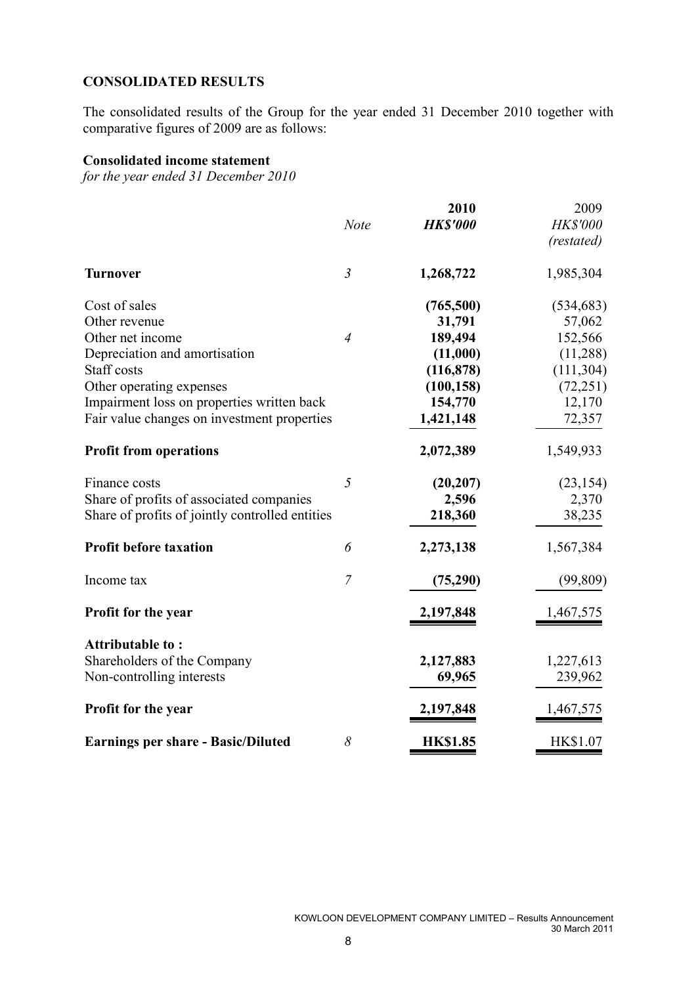# CONSOLIDATED RESULTS

The consolidated results of the Group for the year ended 31 December 2010 together with comparative figures of 2009 are as follows:

# Consolidated income statement

for the year ended 31 December 2010

|                                                 | <b>Note</b>    | 2010<br><b>HK\$'000</b> | 2009<br>HK\$'000<br>(restated) |
|-------------------------------------------------|----------------|-------------------------|--------------------------------|
| <b>Turnover</b>                                 | $\overline{3}$ | 1,268,722               | 1,985,304                      |
| Cost of sales                                   |                | (765,500)               | (534, 683)                     |
| Other revenue                                   |                | 31,791                  | 57,062                         |
| Other net income                                | $\overline{4}$ | 189,494                 | 152,566                        |
| Depreciation and amortisation                   |                | (11,000)                | (11, 288)                      |
| Staff costs                                     |                | (116, 878)              | (111, 304)                     |
| Other operating expenses                        |                | (100, 158)              | (72, 251)                      |
| Impairment loss on properties written back      |                | 154,770                 | 12,170                         |
| Fair value changes on investment properties     |                | 1,421,148               | 72,357                         |
| <b>Profit from operations</b>                   |                | 2,072,389               | 1,549,933                      |
| Finance costs                                   | 5              | (20, 207)               | (23, 154)                      |
| Share of profits of associated companies        |                | 2,596                   | 2,370                          |
| Share of profits of jointly controlled entities |                | 218,360                 | 38,235                         |
| <b>Profit before taxation</b>                   | 6              | 2,273,138               | 1,567,384                      |
| Income tax                                      | $\overline{7}$ | (75,290)                | (99, 809)                      |
| Profit for the year                             |                | 2,197,848               | 1,467,575                      |
| Attributable to:                                |                |                         |                                |
| Shareholders of the Company                     |                | 2,127,883               | 1,227,613                      |
| Non-controlling interests                       |                | 69,965                  | 239,962                        |
| <b>Profit for the year</b>                      |                | 2,197,848               | 1,467,575                      |
| <b>Earnings per share - Basic/Diluted</b>       | 8              | <b>HK\$1.85</b>         | HK\$1.07                       |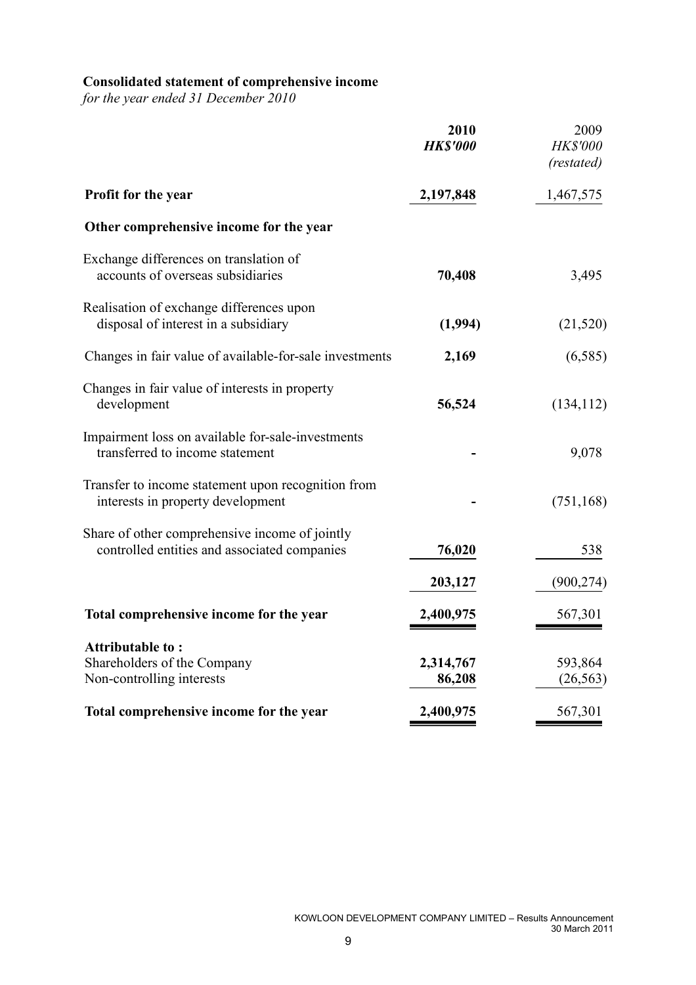### Consolidated statement of comprehensive income

for the year ended 31 December 2010

|                                                                                                | 2010<br><b>HK\$'000</b> | 2009<br>HK\$'000<br>(restated) |
|------------------------------------------------------------------------------------------------|-------------------------|--------------------------------|
| Profit for the year                                                                            | 2,197,848               | 1,467,575                      |
| Other comprehensive income for the year                                                        |                         |                                |
| Exchange differences on translation of<br>accounts of overseas subsidiaries                    | 70,408                  | 3,495                          |
| Realisation of exchange differences upon<br>disposal of interest in a subsidiary               | (1,994)                 | (21, 520)                      |
| Changes in fair value of available-for-sale investments                                        | 2,169                   | (6, 585)                       |
| Changes in fair value of interests in property<br>development                                  | 56,524                  | (134, 112)                     |
| Impairment loss on available for-sale-investments<br>transferred to income statement           |                         | 9,078                          |
| Transfer to income statement upon recognition from<br>interests in property development        |                         | (751, 168)                     |
| Share of other comprehensive income of jointly<br>controlled entities and associated companies | 76,020                  | 538                            |
|                                                                                                | 203,127                 | (900, 274)                     |
| Total comprehensive income for the year                                                        | 2,400,975               | 567,301                        |
| <b>Attributable to:</b><br>Shareholders of the Company<br>Non-controlling interests            | 2,314,767<br>86,208     | 593,864<br>(26, 563)           |
| Total comprehensive income for the year                                                        | 2,400,975               | 567,301                        |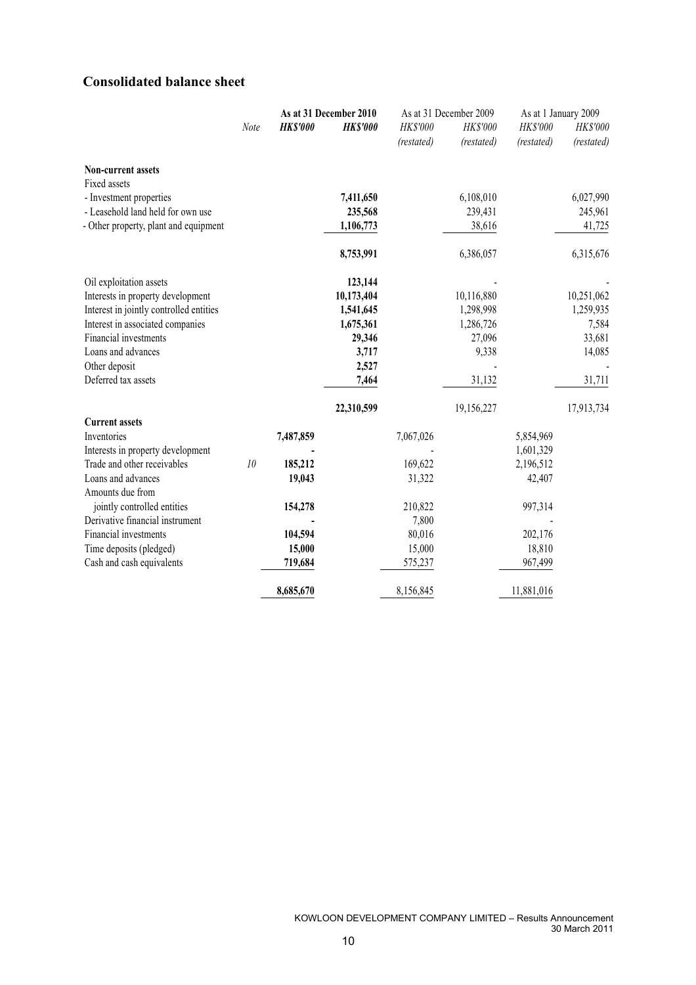# Consolidated balance sheet

|                                         |      |                 | As at 31 December 2010 |            | As at 31 December 2009 | As at 1 January 2009 |            |
|-----------------------------------------|------|-----------------|------------------------|------------|------------------------|----------------------|------------|
|                                         | Note | <b>HK\$'000</b> | <b>HK\$'000</b>        | HK\$'000   | HK\$'000               | HK\$'000             | HK\$'000   |
|                                         |      |                 |                        | (restated) | (restated)             | (restated)           | (restated) |
| Non-current assets                      |      |                 |                        |            |                        |                      |            |
| Fixed assets                            |      |                 |                        |            |                        |                      |            |
| - Investment properties                 |      |                 | 7,411,650              |            | 6,108,010              |                      | 6,027,990  |
| - Leasehold land held for own use       |      |                 | 235,568                |            | 239,431                |                      | 245,961    |
| - Other property, plant and equipment   |      |                 | 1,106,773              |            | 38,616                 |                      | 41,725     |
|                                         |      |                 | 8,753,991              |            | 6,386,057              |                      | 6,315,676  |
| Oil exploitation assets                 |      |                 | 123,144                |            |                        |                      |            |
| Interests in property development       |      |                 | 10,173,404             |            | 10,116,880             |                      | 10,251,062 |
| Interest in jointly controlled entities |      |                 | 1,541,645              |            | 1,298,998              |                      | 1,259,935  |
| Interest in associated companies        |      |                 | 1,675,361              |            | 1,286,726              |                      | 7,584      |
| Financial investments                   |      |                 | 29,346                 |            | 27,096                 |                      | 33,681     |
| Loans and advances                      |      |                 | 3,717                  |            | 9,338                  |                      | 14,085     |
| Other deposit                           |      |                 | 2,527                  |            |                        |                      |            |
| Deferred tax assets                     |      |                 | 7,464                  |            | 31,132                 |                      | 31,711     |
|                                         |      |                 | 22,310,599             |            | 19,156,227             |                      | 17,913,734 |
| <b>Current assets</b>                   |      |                 |                        |            |                        |                      |            |
| Inventories                             |      | 7,487,859       |                        | 7,067,026  |                        | 5,854,969            |            |
| Interests in property development       |      |                 |                        |            |                        | 1,601,329            |            |
| Trade and other receivables             | 10   | 185,212         |                        | 169,622    |                        | 2,196,512            |            |
| Loans and advances                      |      | 19,043          |                        | 31,322     |                        | 42,407               |            |
| Amounts due from                        |      |                 |                        |            |                        |                      |            |
| jointly controlled entities             |      | 154,278         |                        | 210,822    |                        | 997,314              |            |
| Derivative financial instrument         |      |                 |                        | 7,800      |                        |                      |            |
| Financial investments                   |      | 104,594         |                        | 80,016     |                        | 202,176              |            |
| Time deposits (pledged)                 |      | 15,000          |                        | 15,000     |                        | 18,810               |            |
| Cash and cash equivalents               |      | 719,684         |                        | 575,237    |                        | 967,499              |            |
|                                         |      | 8,685,670       |                        | 8,156,845  |                        | 11,881,016           |            |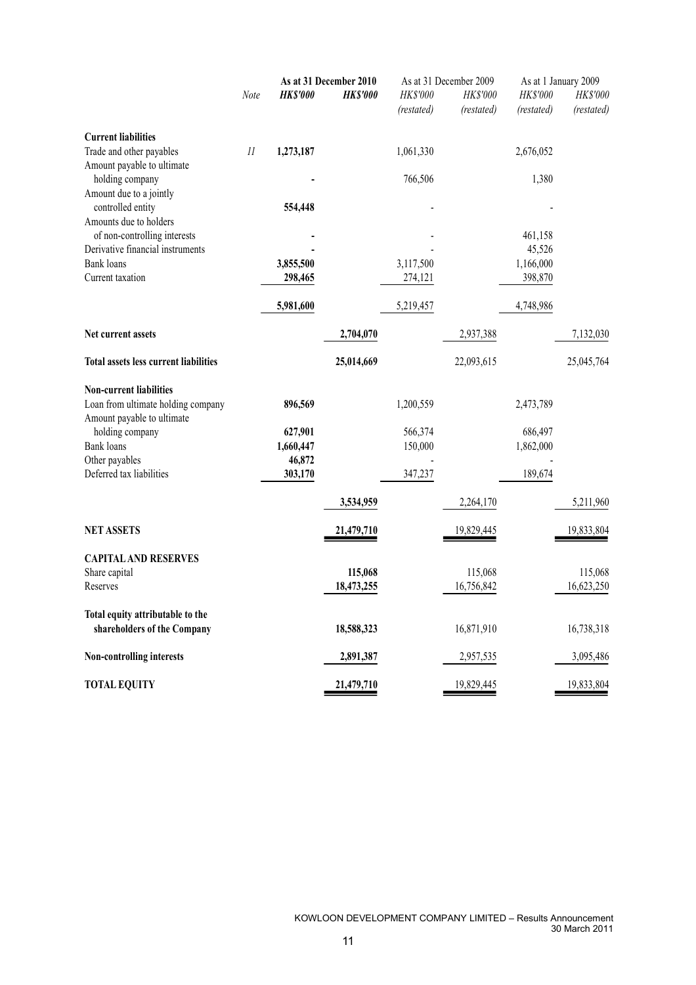|                                              |         | As at 31 December 2010 |                 |            | As at 31 December 2009 | As at 1 January 2009 |            |  |
|----------------------------------------------|---------|------------------------|-----------------|------------|------------------------|----------------------|------------|--|
|                                              | Note    | <b>HK\$'000</b>        | <b>HK\$'000</b> | HK\$'000   | HK\$'000               | HK\$'000             | HK\$'000   |  |
|                                              |         |                        |                 | (restated) | (restated)             | (restated)           | (restated) |  |
| <b>Current liabilities</b>                   |         |                        |                 |            |                        |                      |            |  |
| Trade and other payables                     | $_{II}$ | 1,273,187              |                 | 1,061,330  |                        | 2,676,052            |            |  |
| Amount payable to ultimate                   |         |                        |                 |            |                        |                      |            |  |
| holding company                              |         |                        |                 | 766,506    |                        | 1,380                |            |  |
| Amount due to a jointly                      |         |                        |                 |            |                        |                      |            |  |
| controlled entity<br>Amounts due to holders  |         | 554,448                |                 |            |                        |                      |            |  |
| of non-controlling interests                 |         |                        |                 |            |                        |                      |            |  |
| Derivative financial instruments             |         |                        |                 |            |                        | 461,158<br>45,526    |            |  |
| <b>Bank</b> loans                            |         | 3,855,500              |                 | 3,117,500  |                        | 1,166,000            |            |  |
| Current taxation                             |         | 298,465                |                 | 274,121    |                        | 398,870              |            |  |
|                                              |         |                        |                 |            |                        |                      |            |  |
|                                              |         | 5,981,600              |                 | 5,219,457  |                        | 4,748,986            |            |  |
| Net current assets                           |         |                        | 2,704,070       |            | 2,937,388              |                      | 7,132,030  |  |
|                                              |         |                        |                 |            |                        |                      |            |  |
| <b>Total assets less current liabilities</b> |         |                        | 25,014,669      |            | 22,093,615             |                      | 25,045,764 |  |
| <b>Non-current liabilities</b>               |         |                        |                 |            |                        |                      |            |  |
| Loan from ultimate holding company           |         | 896,569                |                 | 1,200,559  |                        | 2,473,789            |            |  |
| Amount payable to ultimate                   |         |                        |                 |            |                        |                      |            |  |
| holding company                              |         | 627,901                |                 | 566,374    |                        | 686,497              |            |  |
| Bank loans                                   |         | 1,660,447              |                 | 150,000    |                        | 1,862,000            |            |  |
| Other payables                               |         | 46,872                 |                 |            |                        |                      |            |  |
| Deferred tax liabilities                     |         | 303,170                |                 | 347,237    |                        | 189,674              |            |  |
|                                              |         |                        | 3,534,959       |            | 2,264,170              |                      | 5,211,960  |  |
| <b>NET ASSETS</b>                            |         |                        | 21,479,710      |            | 19,829,445             |                      | 19,833,804 |  |
|                                              |         |                        |                 |            |                        |                      |            |  |
| <b>CAPITAL AND RESERVES</b>                  |         |                        |                 |            |                        |                      |            |  |
| Share capital                                |         |                        | 115,068         |            | 115,068                |                      | 115,068    |  |
| Reserves                                     |         |                        | 18,473,255      |            | 16,756,842             |                      | 16,623,250 |  |
|                                              |         |                        |                 |            |                        |                      |            |  |
| Total equity attributable to the             |         |                        |                 |            |                        |                      |            |  |
| shareholders of the Company                  |         |                        | 18,588,323      |            | 16,871,910             |                      | 16,738,318 |  |
| Non-controlling interests                    |         |                        | 2,891,387       |            | 2,957,535              |                      | 3,095,486  |  |
|                                              |         |                        |                 |            |                        |                      |            |  |
| <b>TOTAL EQUITY</b>                          |         |                        | 21,479,710      |            | 19,829,445             |                      | 19,833,804 |  |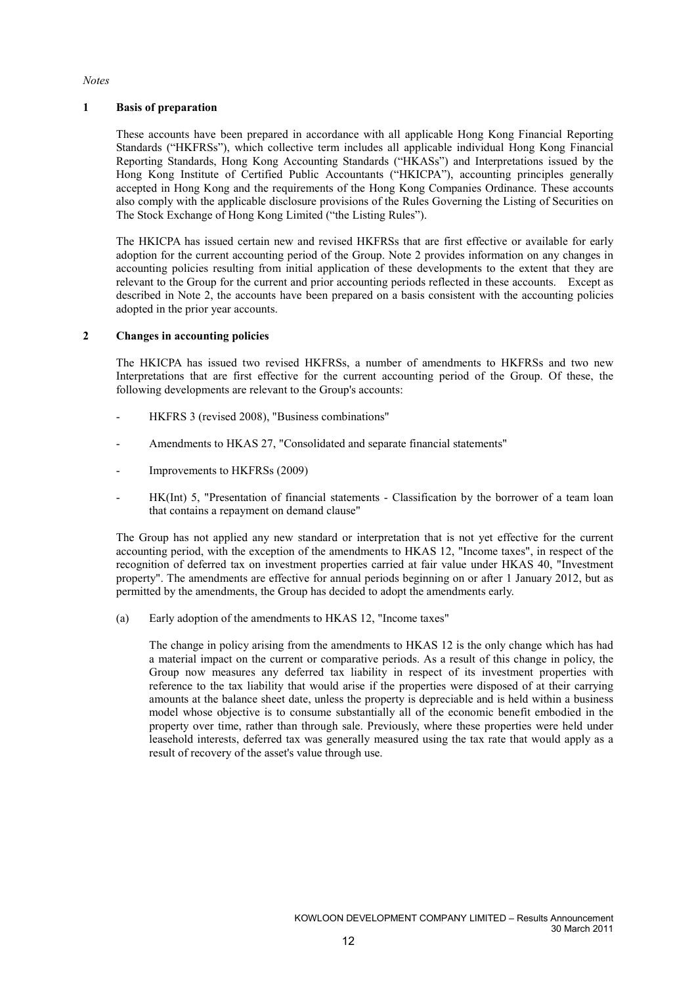#### **Notes**

#### 1 Basis of preparation

These accounts have been prepared in accordance with all applicable Hong Kong Financial Reporting Standards ("HKFRSs"), which collective term includes all applicable individual Hong Kong Financial Reporting Standards, Hong Kong Accounting Standards ("HKASs") and Interpretations issued by the Hong Kong Institute of Certified Public Accountants ("HKICPA"), accounting principles generally accepted in Hong Kong and the requirements of the Hong Kong Companies Ordinance. These accounts also comply with the applicable disclosure provisions of the Rules Governing the Listing of Securities on The Stock Exchange of Hong Kong Limited ("the Listing Rules").

The HKICPA has issued certain new and revised HKFRSs that are first effective or available for early adoption for the current accounting period of the Group. Note 2 provides information on any changes in accounting policies resulting from initial application of these developments to the extent that they are relevant to the Group for the current and prior accounting periods reflected in these accounts. Except as described in Note 2, the accounts have been prepared on a basis consistent with the accounting policies adopted in the prior year accounts.

#### 2 Changes in accounting policies

The HKICPA has issued two revised HKFRSs, a number of amendments to HKFRSs and two new Interpretations that are first effective for the current accounting period of the Group. Of these, the following developments are relevant to the Group's accounts:

- HKFRS 3 (revised 2008), "Business combinations"
- Amendments to HKAS 27, "Consolidated and separate financial statements"
- Improvements to HKFRSs (2009)
- HK(Int) 5, "Presentation of financial statements Classification by the borrower of a team loan that contains a repayment on demand clause"

The Group has not applied any new standard or interpretation that is not yet effective for the current accounting period, with the exception of the amendments to HKAS 12, "Income taxes", in respect of the recognition of deferred tax on investment properties carried at fair value under HKAS 40, "Investment property". The amendments are effective for annual periods beginning on or after 1 January 2012, but as permitted by the amendments, the Group has decided to adopt the amendments early.

(a) Early adoption of the amendments to HKAS 12, "Income taxes"

The change in policy arising from the amendments to HKAS 12 is the only change which has had a material impact on the current or comparative periods. As a result of this change in policy, the Group now measures any deferred tax liability in respect of its investment properties with reference to the tax liability that would arise if the properties were disposed of at their carrying amounts at the balance sheet date, unless the property is depreciable and is held within a business model whose objective is to consume substantially all of the economic benefit embodied in the property over time, rather than through sale. Previously, where these properties were held under leasehold interests, deferred tax was generally measured using the tax rate that would apply as a result of recovery of the asset's value through use.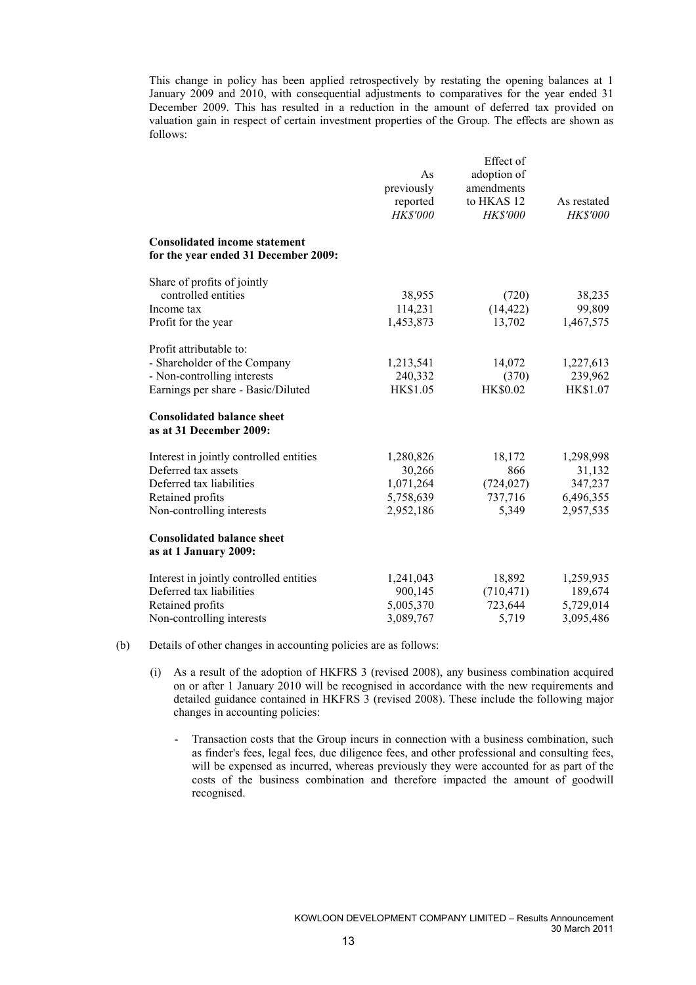This change in policy has been applied retrospectively by restating the opening balances at 1 January 2009 and 2010, with consequential adjustments to comparatives for the year ended 31 December 2009. This has resulted in a reduction in the amount of deferred tax provided on valuation gain in respect of certain investment properties of the Group. The effects are shown as follows:

|                                                                              | As<br>previously<br>reported<br>HK\$'000 | Effect of<br>adoption of<br>amendments<br>to HKAS 12<br>HK\$'000 | As restated<br><b>HK\$'000</b> |
|------------------------------------------------------------------------------|------------------------------------------|------------------------------------------------------------------|--------------------------------|
| <b>Consolidated income statement</b><br>for the year ended 31 December 2009: |                                          |                                                                  |                                |
| Share of profits of jointly                                                  |                                          |                                                                  |                                |
| controlled entities                                                          | 38,955                                   | (720)                                                            | 38,235                         |
| Income tax                                                                   | 114,231                                  | (14, 422)                                                        | 99,809                         |
| Profit for the year                                                          | 1,453,873                                | 13,702                                                           | 1,467,575                      |
| Profit attributable to:                                                      |                                          |                                                                  |                                |
| - Shareholder of the Company                                                 | 1,213,541                                | 14,072                                                           | 1,227,613                      |
| - Non-controlling interests                                                  | 240,332                                  | (370)                                                            | 239,962                        |
| Earnings per share - Basic/Diluted                                           | HK\$1.05                                 | <b>HK\$0.02</b>                                                  | HK\$1.07                       |
| <b>Consolidated balance sheet</b><br>as at 31 December 2009:                 |                                          |                                                                  |                                |
| Interest in jointly controlled entities                                      | 1,280,826                                | 18,172                                                           | 1,298,998                      |
| Deferred tax assets                                                          | 30,266                                   | 866                                                              | 31,132                         |
| Deferred tax liabilities                                                     | 1,071,264                                | (724, 027)                                                       | 347,237                        |
| Retained profits                                                             | 5,758,639                                | 737,716                                                          | 6,496,355                      |
| Non-controlling interests                                                    | 2,952,186                                | 5,349                                                            | 2,957,535                      |
| <b>Consolidated balance sheet</b><br>as at 1 January 2009:                   |                                          |                                                                  |                                |
| Interest in jointly controlled entities                                      | 1,241,043                                | 18,892                                                           | 1,259,935                      |
| Deferred tax liabilities                                                     | 900,145                                  | (710, 471)                                                       | 189,674                        |
| Retained profits                                                             | 5,005,370                                | 723,644                                                          | 5,729,014                      |
| Non-controlling interests                                                    | 3,089,767                                | 5,719                                                            | 3,095,486                      |

- (b) Details of other changes in accounting policies are as follows:
	- (i) As a result of the adoption of HKFRS 3 (revised 2008), any business combination acquired on or after 1 January 2010 will be recognised in accordance with the new requirements and detailed guidance contained in HKFRS 3 (revised 2008). These include the following major changes in accounting policies:
		- Transaction costs that the Group incurs in connection with a business combination, such as finder's fees, legal fees, due diligence fees, and other professional and consulting fees, will be expensed as incurred, whereas previously they were accounted for as part of the costs of the business combination and therefore impacted the amount of goodwill recognised.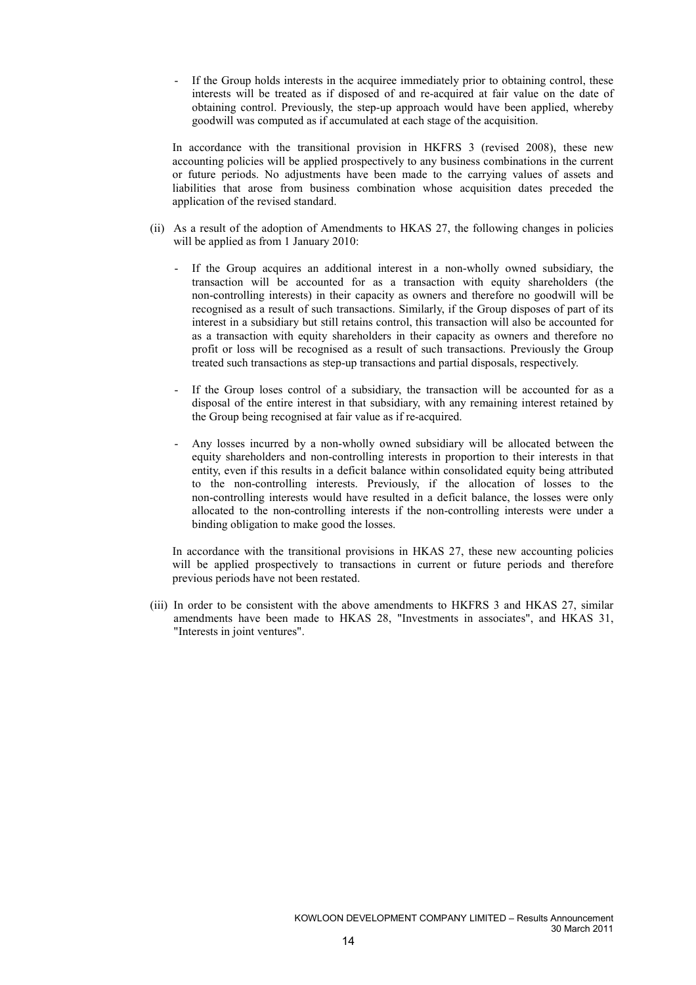If the Group holds interests in the acquiree immediately prior to obtaining control, these interests will be treated as if disposed of and re-acquired at fair value on the date of obtaining control. Previously, the step-up approach would have been applied, whereby goodwill was computed as if accumulated at each stage of the acquisition.

In accordance with the transitional provision in HKFRS 3 (revised 2008), these new accounting policies will be applied prospectively to any business combinations in the current or future periods. No adjustments have been made to the carrying values of assets and liabilities that arose from business combination whose acquisition dates preceded the application of the revised standard.

- (ii) As a result of the adoption of Amendments to HKAS 27, the following changes in policies will be applied as from 1 January 2010:
	- If the Group acquires an additional interest in a non-wholly owned subsidiary, the transaction will be accounted for as a transaction with equity shareholders (the non-controlling interests) in their capacity as owners and therefore no goodwill will be recognised as a result of such transactions. Similarly, if the Group disposes of part of its interest in a subsidiary but still retains control, this transaction will also be accounted for as a transaction with equity shareholders in their capacity as owners and therefore no profit or loss will be recognised as a result of such transactions. Previously the Group treated such transactions as step-up transactions and partial disposals, respectively.
	- If the Group loses control of a subsidiary, the transaction will be accounted for as a disposal of the entire interest in that subsidiary, with any remaining interest retained by the Group being recognised at fair value as if re-acquired.
	- Any losses incurred by a non-wholly owned subsidiary will be allocated between the equity shareholders and non-controlling interests in proportion to their interests in that entity, even if this results in a deficit balance within consolidated equity being attributed to the non-controlling interests. Previously, if the allocation of losses to the non-controlling interests would have resulted in a deficit balance, the losses were only allocated to the non-controlling interests if the non-controlling interests were under a binding obligation to make good the losses.

In accordance with the transitional provisions in HKAS 27, these new accounting policies will be applied prospectively to transactions in current or future periods and therefore previous periods have not been restated.

(iii) In order to be consistent with the above amendments to HKFRS 3 and HKAS 27, similar amendments have been made to HKAS 28, "Investments in associates", and HKAS 31, "Interests in joint ventures".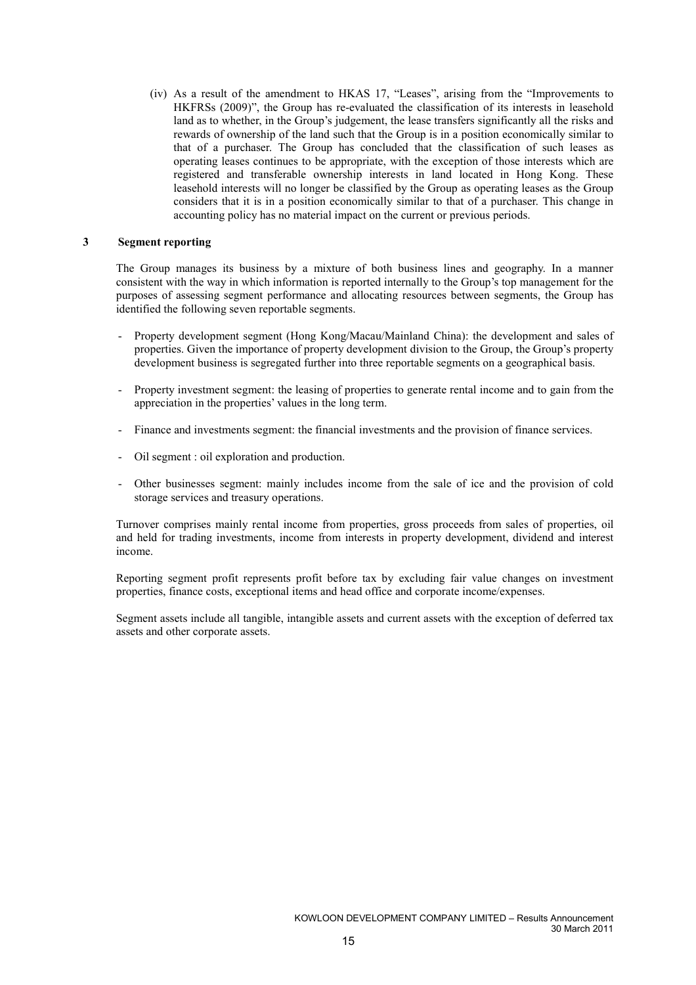(iv) As a result of the amendment to HKAS 17, "Leases", arising from the "Improvements to HKFRSs (2009)", the Group has re-evaluated the classification of its interests in leasehold land as to whether, in the Group's judgement, the lease transfers significantly all the risks and rewards of ownership of the land such that the Group is in a position economically similar to that of a purchaser. The Group has concluded that the classification of such leases as operating leases continues to be appropriate, with the exception of those interests which are registered and transferable ownership interests in land located in Hong Kong. These leasehold interests will no longer be classified by the Group as operating leases as the Group considers that it is in a position economically similar to that of a purchaser. This change in accounting policy has no material impact on the current or previous periods.

#### 3 Segment reporting

The Group manages its business by a mixture of both business lines and geography. In a manner consistent with the way in which information is reported internally to the Group's top management for the purposes of assessing segment performance and allocating resources between segments, the Group has identified the following seven reportable segments.

- Property development segment (Hong Kong/Macau/Mainland China): the development and sales of properties. Given the importance of property development division to the Group, the Group's property development business is segregated further into three reportable segments on a geographical basis.
- Property investment segment: the leasing of properties to generate rental income and to gain from the appreciation in the properties' values in the long term.
- Finance and investments segment: the financial investments and the provision of finance services.
- Oil segment : oil exploration and production.
- Other businesses segment: mainly includes income from the sale of ice and the provision of cold storage services and treasury operations.

Turnover comprises mainly rental income from properties, gross proceeds from sales of properties, oil and held for trading investments, income from interests in property development, dividend and interest income.

Reporting segment profit represents profit before tax by excluding fair value changes on investment properties, finance costs, exceptional items and head office and corporate income/expenses.

Segment assets include all tangible, intangible assets and current assets with the exception of deferred tax assets and other corporate assets.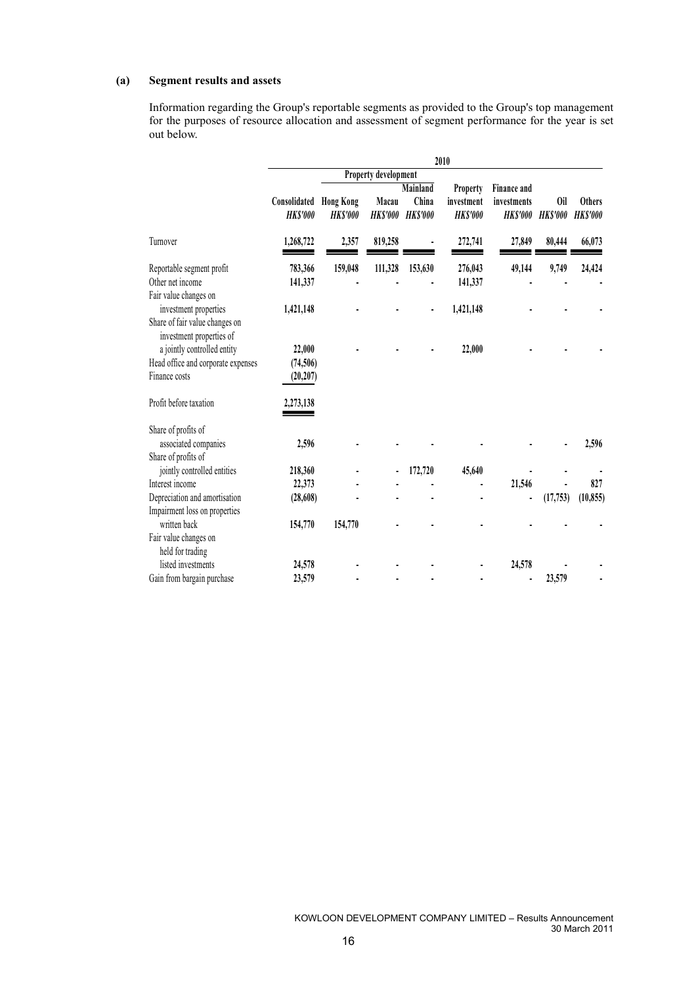### (a) Segment results and assets

Information regarding the Group's reportable segments as provided to the Group's top management for the purposes of resource allocation and assessment of segment performance for the year is set out below.

|                                                            | 2010                           |                                    |                         |                          |                               |                                |                        |                                 |  |  |
|------------------------------------------------------------|--------------------------------|------------------------------------|-------------------------|--------------------------|-------------------------------|--------------------------------|------------------------|---------------------------------|--|--|
|                                                            |                                | Property development               |                         |                          |                               |                                |                        |                                 |  |  |
|                                                            |                                |                                    |                         | Mainland                 | Property                      | <b>Finance and</b>             |                        |                                 |  |  |
|                                                            | Consolidated<br><b>HKS'000</b> | <b>Hong Kong</b><br><b>HKS'000</b> | Macau<br><b>HKS'000</b> | China<br><b>HK\$'000</b> | investment<br><b>HK\$'000</b> | investments<br><b>HK\$'000</b> | 0il<br><b>HK\$'000</b> | <b>Others</b><br><b>HKS'000</b> |  |  |
| Turnover                                                   | 1,268,722                      | 2,357                              | 819,258                 |                          | 272,741                       | 27,849                         | 80,444                 | 66,073                          |  |  |
| Reportable segment profit                                  | 783,366                        | 159,048                            | 111,328                 | 153,630                  | 276,043                       | 49,144                         | 9,749                  | 24,424                          |  |  |
| Other net income                                           | 141,337                        |                                    |                         |                          | 141,337                       |                                |                        |                                 |  |  |
| Fair value changes on<br>investment properties             | 1,421,148                      |                                    |                         |                          | 1,421,148                     |                                |                        |                                 |  |  |
| Share of fair value changes on<br>investment properties of |                                |                                    |                         |                          |                               |                                |                        |                                 |  |  |
| a jointly controlled entity                                | 22,000                         |                                    |                         |                          | 22,000                        |                                |                        |                                 |  |  |
| Head office and corporate expenses                         | (74, 506)                      |                                    |                         |                          |                               |                                |                        |                                 |  |  |
| Finance costs                                              | (20, 207)                      |                                    |                         |                          |                               |                                |                        |                                 |  |  |
| Profit before taxation                                     | 2,273,138                      |                                    |                         |                          |                               |                                |                        |                                 |  |  |
| Share of profits of                                        |                                |                                    |                         |                          |                               |                                |                        |                                 |  |  |
| associated companies                                       | 2,596                          |                                    |                         |                          |                               |                                |                        | 2,596                           |  |  |
| Share of profits of                                        |                                |                                    |                         |                          |                               |                                |                        |                                 |  |  |
| jointly controlled entities                                | 218,360                        |                                    |                         | 172,720                  | 45,640                        |                                |                        |                                 |  |  |
| Interest income                                            | 22,373                         |                                    |                         |                          |                               | 21,546                         |                        | 827                             |  |  |
| Depreciation and amortisation                              | (28, 608)                      |                                    |                         |                          |                               |                                | (17, 753)              | (10, 855)                       |  |  |
| Impairment loss on properties                              |                                |                                    |                         |                          |                               |                                |                        |                                 |  |  |
| written back                                               | 154,770                        | 154,770                            |                         |                          |                               |                                |                        |                                 |  |  |
| Fair value changes on                                      |                                |                                    |                         |                          |                               |                                |                        |                                 |  |  |
| held for trading                                           |                                |                                    |                         |                          |                               |                                |                        |                                 |  |  |
| listed investments                                         | 24,578                         |                                    |                         |                          |                               | 24,578                         |                        |                                 |  |  |
| Gain from bargain purchase                                 | 23,579                         |                                    |                         |                          |                               |                                | 23,579                 |                                 |  |  |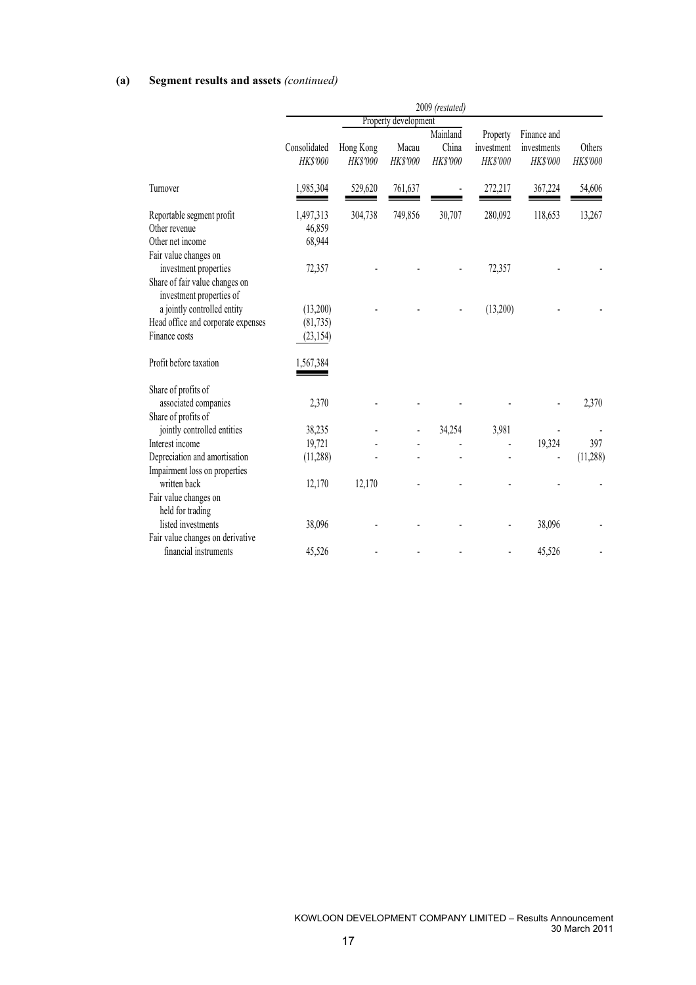### (a) Segment results and assets (continued)

|                                                                                                              |                                   |                              |                          | 2009 (restated)                      |                                    |                                        |                    |
|--------------------------------------------------------------------------------------------------------------|-----------------------------------|------------------------------|--------------------------|--------------------------------------|------------------------------------|----------------------------------------|--------------------|
|                                                                                                              | Property development              |                              |                          |                                      |                                    |                                        |                    |
|                                                                                                              | Consolidated<br><b>HK\$'000</b>   | Hong Kong<br><b>HK\$'000</b> | Macau<br><b>HK\$'000</b> | Mainland<br>China<br><b>HK\$'000</b> | Property<br>investment<br>HK\$'000 | Finance and<br>investments<br>HK\$'000 | Others<br>HK\$'000 |
| Turnover                                                                                                     | 1,985,304                         | 529,620                      | 761,637                  |                                      | 272,217                            | 367,224                                | 54,606             |
| Reportable segment profit<br>Other revenue<br>Other net income                                               | 1,497,313<br>46,859<br>68,944     | 304,738                      | 749,856                  | 30,707                               | 280,092                            | 118,653                                | 13,267             |
| Fair value changes on<br>investment properties<br>Share of fair value changes on<br>investment properties of | 72,357                            |                              |                          |                                      | 72,357                             |                                        |                    |
| a jointly controlled entity<br>Head office and corporate expenses<br>Finance costs                           | (13,200)<br>(81,735)<br>(23, 154) |                              |                          |                                      | (13,200)                           |                                        |                    |
| Profit before taxation                                                                                       | 1,567,384                         |                              |                          |                                      |                                    |                                        |                    |
| Share of profits of<br>associated companies<br>Share of profits of                                           | 2,370                             |                              |                          |                                      |                                    |                                        | 2,370              |
| jointly controlled entities                                                                                  | 38,235                            |                              |                          | 34,254                               | 3,981                              |                                        |                    |
| Interest income                                                                                              | 19,721                            |                              |                          |                                      |                                    | 19,324                                 | 397                |
| Depreciation and amortisation                                                                                | (11, 288)                         |                              |                          |                                      |                                    |                                        | (11,288)           |
| Impairment loss on properties                                                                                |                                   |                              |                          |                                      |                                    |                                        |                    |
| written back<br>Fair value changes on<br>held for trading                                                    | 12,170                            | 12,170                       |                          |                                      |                                    |                                        |                    |
| listed investments<br>Fair value changes on derivative                                                       | 38,096                            |                              |                          |                                      |                                    | 38,096                                 |                    |
| financial instruments                                                                                        | 45,526                            |                              |                          |                                      |                                    | 45,526                                 |                    |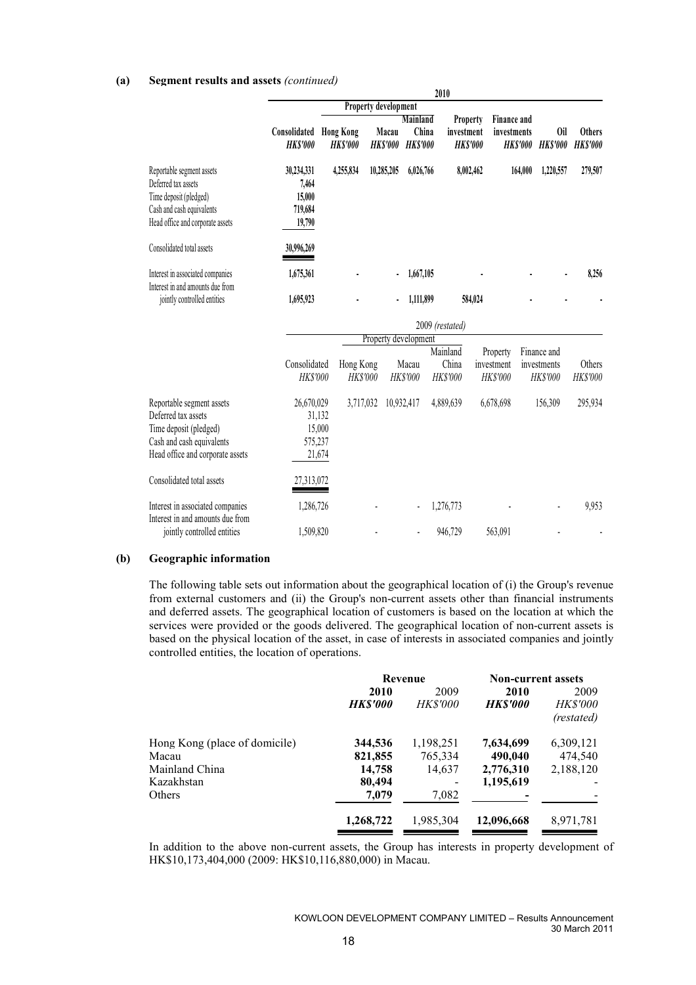#### (a) Segment results and assets (continued)

|                                                                                                                                             |                                                     |                              |                             |                                             | 2010                                      |                                    |                                        |                                        |
|---------------------------------------------------------------------------------------------------------------------------------------------|-----------------------------------------------------|------------------------------|-----------------------------|---------------------------------------------|-------------------------------------------|------------------------------------|----------------------------------------|----------------------------------------|
|                                                                                                                                             |                                                     |                              | <b>Property development</b> |                                             |                                           |                                    |                                        |                                        |
|                                                                                                                                             | <b>Consolidated Hong Kong</b><br><b>HK\$'000</b>    | <b>HK\$'000</b>              | Macau<br><b>HK\$'000</b>    | <b>Mainland</b><br>China<br><b>HK\$'000</b> | Property<br>investment<br><b>HK\$'000</b> | <b>Finance and</b><br>investments  | <b>HK\$'000</b><br><b>HKS'000</b>      | 0il<br><b>Others</b><br><b>HKS'000</b> |
| Reportable segment assets<br>Deferred tax assets<br>Time deposit (pledged)<br>Cash and cash equivalents<br>Head office and corporate assets | 30,234,331<br>7,464<br>15,000<br>719,684<br>19,790  | 4,255,834                    | 10,285,205                  | 6,026,766                                   |                                           | 8,002,462                          | 164,000<br>1,220,557                   | 279,507                                |
| Consolidated total assets                                                                                                                   | 30,996,269                                          |                              |                             |                                             |                                           |                                    |                                        |                                        |
| Interest in associated companies<br>Interest in and amounts due from<br>jointly controlled entities                                         | 1,675,361<br>1,695,923                              |                              |                             | 1,667,105<br>1,111,899                      |                                           | 584,024                            |                                        | 8,256                                  |
|                                                                                                                                             |                                                     |                              |                             |                                             | 2009 (restated)                           |                                    |                                        |                                        |
|                                                                                                                                             |                                                     |                              | Property development        |                                             |                                           |                                    |                                        |                                        |
|                                                                                                                                             | Consolidated<br>HK\$'000                            | Hong Kong<br><b>HK\$'000</b> |                             | Macau<br><b>HK\$'000</b>                    | Mainland<br>China<br>HK\$'000             | Property<br>investment<br>HK\$'000 | Finance and<br>investments<br>HK\$'000 | Others<br>HK\$'000                     |
| Reportable segment assets<br>Deferred tax assets<br>Time deposit (pledged)<br>Cash and cash equivalents<br>Head office and corporate assets | 26,670,029<br>31,132<br>15,000<br>575,237<br>21,674 | 3,717,032                    |                             | 10,932,417                                  | 4,889,639                                 | 6,678,698                          | 156,309                                | 295,934                                |
| Consolidated total assets                                                                                                                   | 27,313,072                                          |                              |                             |                                             |                                           |                                    |                                        |                                        |
| Interest in associated companies<br>Interest in and amounts due from                                                                        | 1,286,726                                           |                              |                             |                                             | 1,276,773                                 |                                    |                                        | 9,953                                  |
| jointly controlled entities                                                                                                                 | 1,509,820                                           |                              |                             |                                             | 946,729                                   | 563,091                            |                                        |                                        |

#### (b) Geographic information

The following table sets out information about the geographical location of (i) the Group's revenue from external customers and (ii) the Group's non-current assets other than financial instruments and deferred assets. The geographical location of customers is based on the location at which the services were provided or the goods delivered. The geographical location of non-current assets is based on the physical location of the asset, in case of interests in associated companies and jointly controlled entities, the location of operations.

|                               | Revenue        |                 | <b>Non-current assets</b> |                               |
|-------------------------------|----------------|-----------------|---------------------------|-------------------------------|
|                               | 2010           | 2009            | 2010                      | 2009                          |
|                               | <b>HKS'000</b> | <i>HK\$'000</i> | <i><b>HKS'000</b></i>     | <b>HK\$'000</b><br>(restated) |
| Hong Kong (place of domicile) | 344,536        | 1,198,251       | 7,634,699                 | 6,309,121                     |
| Macau                         | 821,855        | 765,334         | 490,040                   | 474,540                       |
| Mainland China                | 14,758         | 14,637          | 2,776,310                 | 2,188,120                     |
| Kazakhstan                    | 80,494         |                 | 1,195,619                 |                               |
| Others                        | 7,079          | 7,082           |                           |                               |
|                               | 1,268,722      | 1,985,304       | 12,096,668                | 8,971,781                     |

In addition to the above non-current assets, the Group has interests in property development of HK\$10,173,404,000 (2009: HK\$10,116,880,000) in Macau.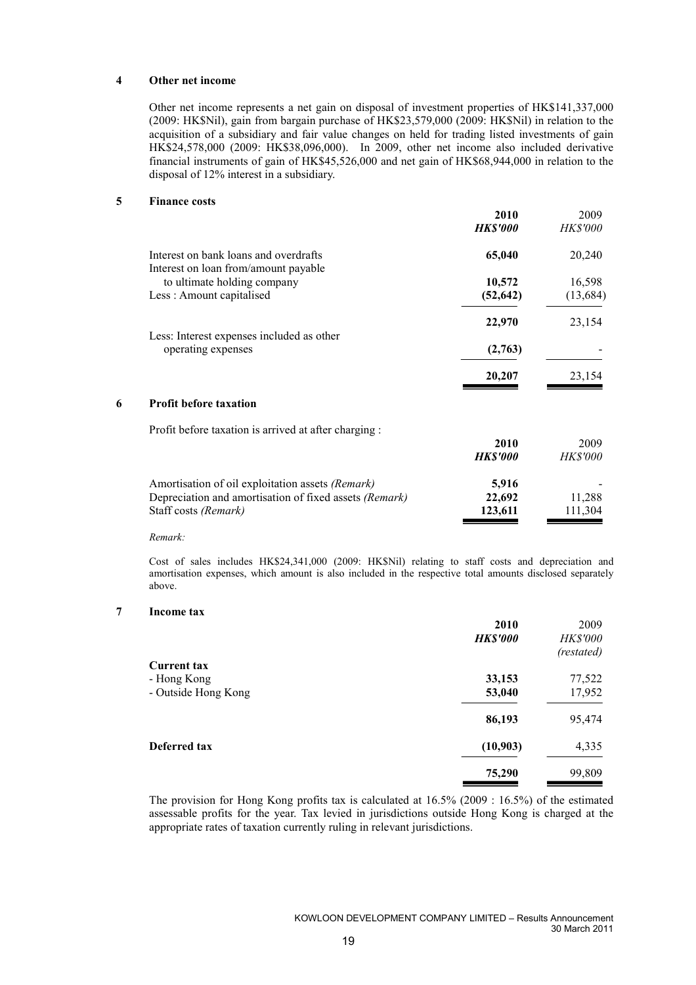#### 4 Other net income

Other net income represents a net gain on disposal of investment properties of HK\$141,337,000 (2009: HK\$Nil), gain from bargain purchase of HK\$23,579,000 (2009: HK\$Nil) in relation to the acquisition of a subsidiary and fair value changes on held for trading listed investments of gain HK\$24,578,000 (2009: HK\$38,096,000). In 2009, other net income also included derivative financial instruments of gain of HK\$45,526,000 and net gain of HK\$68,944,000 in relation to the disposal of 12% interest in a subsidiary.

#### 5 Finance costs

|   |                                                                               | 2010<br><b>HK\$'000</b> | 2009<br><b>HK\$'000</b> |
|---|-------------------------------------------------------------------------------|-------------------------|-------------------------|
|   | Interest on bank loans and overdrafts<br>Interest on loan from/amount payable | 65,040                  | 20,240                  |
|   | to ultimate holding company                                                   | 10,572                  | 16,598                  |
|   | Less: Amount capitalised                                                      | (52, 642)               | (13, 684)               |
|   |                                                                               | 22,970                  | 23,154                  |
|   | Less: Interest expenses included as other<br>operating expenses               | (2,763)                 |                         |
|   |                                                                               | 20,207                  | 23,154                  |
| 6 | <b>Profit before taxation</b>                                                 |                         |                         |
|   | Profit before taxation is arrived at after charging:                          |                         |                         |
|   |                                                                               | 2010                    | 2009                    |
|   |                                                                               | <b>HK\$'000</b>         | <i>HK\$'000</i>         |
|   | Amortisation of oil exploitation assets (Remark)                              | 5,916                   |                         |
|   | Depreciation and amortisation of fixed assets (Remark)                        | 22,692                  | 11,288                  |
|   | Staff costs (Remark)                                                          | 123,611                 | 111,304                 |
|   |                                                                               |                         |                         |

Remark:

Cost of sales includes HK\$24,341,000 (2009: HK\$Nil) relating to staff costs and depreciation and amortisation expenses, which amount is also included in the respective total amounts disclosed separately above.

#### 7 Income tax

|                     | 2010            | 2009            |
|---------------------|-----------------|-----------------|
|                     | <b>HK\$'000</b> | <b>HK\$'000</b> |
|                     |                 | (restated)      |
| <b>Current tax</b>  |                 |                 |
| - Hong Kong         | 33,153          | 77,522          |
| - Outside Hong Kong | 53,040          | 17,952          |
|                     | 86,193          | 95,474          |
| <b>Deferred tax</b> | (10, 903)       | 4,335           |
|                     | 75,290          | 99,809          |

The provision for Hong Kong profits tax is calculated at 16.5% (2009 : 16.5%) of the estimated assessable profits for the year. Tax levied in jurisdictions outside Hong Kong is charged at the appropriate rates of taxation currently ruling in relevant jurisdictions.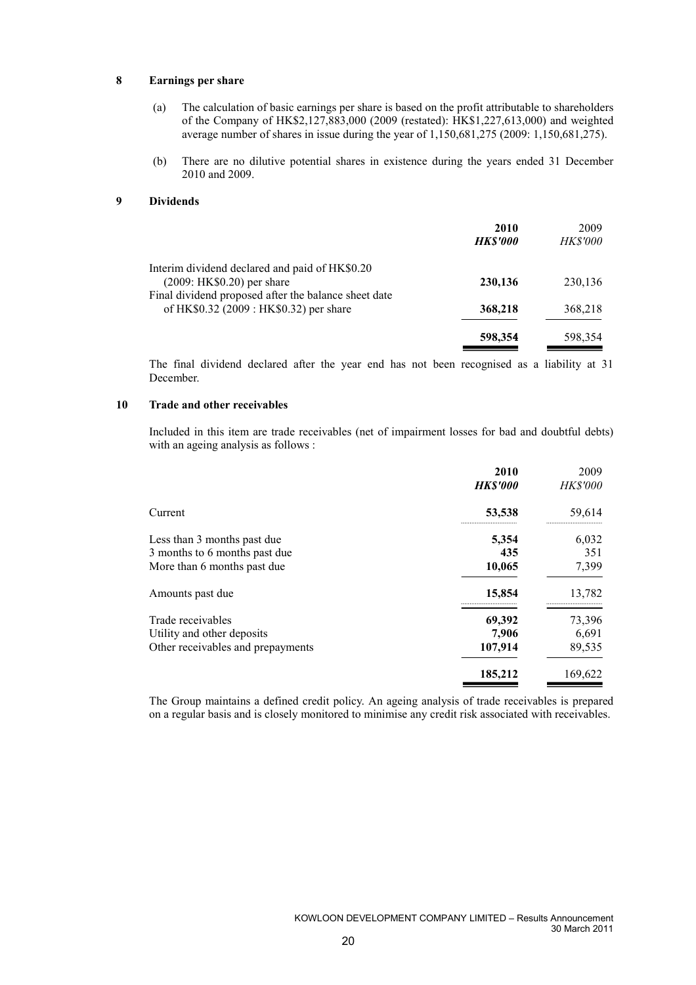#### 8 Earnings per share

- (a) The calculation of basic earnings per share is based on the profit attributable to shareholders of the Company of HK\$2,127,883,000 (2009 (restated): HK\$1,227,613,000) and weighted average number of shares in issue during the year of 1,150,681,275 (2009: 1,150,681,275).
- (b) There are no dilutive potential shares in existence during the years ended 31 December 2010 and 2009.

#### 9 Dividends

|                                                                                                 | 2010<br><b>HK\$'000</b> | 2009<br><i>HK\$'000</i> |
|-------------------------------------------------------------------------------------------------|-------------------------|-------------------------|
| Interim dividend declared and paid of HK\$0.20<br>$(2009: HK $0.20)$ per share                  | 230,136                 | 230,136                 |
| Final dividend proposed after the balance sheet date<br>of HK\$0.32 (2009 : HK\$0.32) per share | 368,218                 | 368,218                 |
|                                                                                                 | 598,354                 | 598,354                 |

The final dividend declared after the year end has not been recognised as a liability at 31 December.

#### 10 Trade and other receivables

Included in this item are trade receivables (net of impairment losses for bad and doubtful debts) with an ageing analysis as follows :

|                                   | 2010           | 2009                                       |
|-----------------------------------|----------------|--------------------------------------------|
|                                   | <b>HKS'000</b> | <b>HK\$'000</b>                            |
| Current                           | 53,538<br>     | 59,614<br>,,,,,,,,,,,,,,,,,,,,,,,,,,,,,,,, |
| Less than 3 months past due       | 5,354          | 6,032                                      |
| 3 months to 6 months past due     | 435            | 351                                        |
| More than 6 months past due       | 10,065         | 7,399                                      |
| Amounts past due                  | 15,854<br>     | 13,782<br>                                 |
| Trade receivables                 | 69,392         | 73,396                                     |
| Utility and other deposits        | 7,906          | 6,691                                      |
| Other receivables and prepayments | 107,914        | 89,535                                     |
|                                   | 185,212        | 169,622                                    |

The Group maintains a defined credit policy. An ageing analysis of trade receivables is prepared on a regular basis and is closely monitored to minimise any credit risk associated with receivables.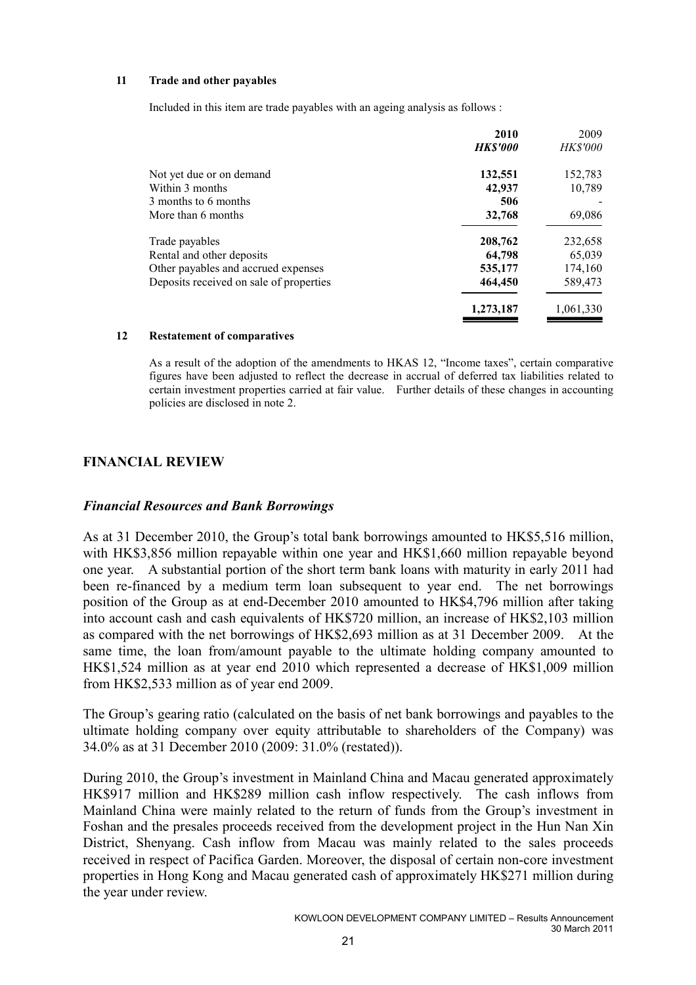### 11 Trade and other payables

Included in this item are trade payables with an ageing analysis as follows :

| 2010<br><b>HK\$'000</b> | 2009<br><b>HK\$'000</b> |
|-------------------------|-------------------------|
| 132,551                 | 152,783                 |
| 42,937                  | 10,789                  |
| 506                     |                         |
| 32,768                  | 69,086                  |
| 208,762                 | 232,658                 |
| 64,798                  | 65,039                  |
| 535,177                 | 174,160                 |
| 464,450                 | 589,473                 |
| 1,273,187               | 1,061,330               |
|                         |                         |

#### 12 Restatement of comparatives

As a result of the adoption of the amendments to HKAS 12, "Income taxes", certain comparative figures have been adjusted to reflect the decrease in accrual of deferred tax liabilities related to certain investment properties carried at fair value. Further details of these changes in accounting policies are disclosed in note 2.

# FINANCIAL REVIEW

# Financial Resources and Bank Borrowings

As at 31 December 2010, the Group's total bank borrowings amounted to HK\$5,516 million, with HK\$3,856 million repayable within one year and HK\$1,660 million repayable beyond one year. A substantial portion of the short term bank loans with maturity in early 2011 had been re-financed by a medium term loan subsequent to year end. The net borrowings position of the Group as at end-December 2010 amounted to HK\$4,796 million after taking into account cash and cash equivalents of HK\$720 million, an increase of HK\$2,103 million as compared with the net borrowings of HK\$2,693 million as at 31 December 2009. At the same time, the loan from/amount payable to the ultimate holding company amounted to HK\$1,524 million as at year end 2010 which represented a decrease of HK\$1,009 million from HK\$2,533 million as of year end 2009.

The Group's gearing ratio (calculated on the basis of net bank borrowings and payables to the ultimate holding company over equity attributable to shareholders of the Company) was 34.0% as at 31 December 2010 (2009: 31.0% (restated)).

During 2010, the Group's investment in Mainland China and Macau generated approximately HK\$917 million and HK\$289 million cash inflow respectively. The cash inflows from Mainland China were mainly related to the return of funds from the Group's investment in Foshan and the presales proceeds received from the development project in the Hun Nan Xin District, Shenyang. Cash inflow from Macau was mainly related to the sales proceeds received in respect of Pacifica Garden. Moreover, the disposal of certain non-core investment properties in Hong Kong and Macau generated cash of approximately HK\$271 million during the year under review.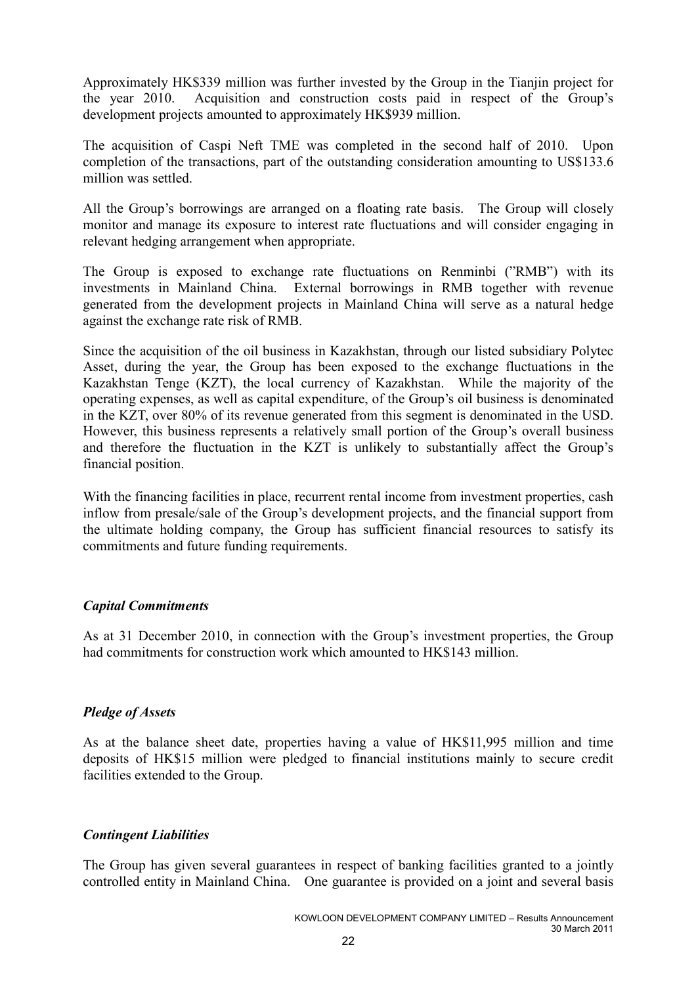Approximately HK\$339 million was further invested by the Group in the Tianjin project for the year 2010. Acquisition and construction costs paid in respect of the Group's development projects amounted to approximately HK\$939 million.

The acquisition of Caspi Neft TME was completed in the second half of 2010. Upon completion of the transactions, part of the outstanding consideration amounting to US\$133.6 million was settled.

All the Group's borrowings are arranged on a floating rate basis. The Group will closely monitor and manage its exposure to interest rate fluctuations and will consider engaging in relevant hedging arrangement when appropriate.

The Group is exposed to exchange rate fluctuations on Renminbi ("RMB") with its investments in Mainland China. External borrowings in RMB together with revenue generated from the development projects in Mainland China will serve as a natural hedge against the exchange rate risk of RMB.

Since the acquisition of the oil business in Kazakhstan, through our listed subsidiary Polytec Asset, during the year, the Group has been exposed to the exchange fluctuations in the Kazakhstan Tenge (KZT), the local currency of Kazakhstan. While the majority of the operating expenses, as well as capital expenditure, of the Group's oil business is denominated in the KZT, over 80% of its revenue generated from this segment is denominated in the USD. However, this business represents a relatively small portion of the Group's overall business and therefore the fluctuation in the KZT is unlikely to substantially affect the Group's financial position.

With the financing facilities in place, recurrent rental income from investment properties, cash inflow from presale/sale of the Group's development projects, and the financial support from the ultimate holding company, the Group has sufficient financial resources to satisfy its commitments and future funding requirements.

# Capital Commitments

As at 31 December 2010, in connection with the Group's investment properties, the Group had commitments for construction work which amounted to HK\$143 million.

# Pledge of Assets

As at the balance sheet date, properties having a value of HK\$11,995 million and time deposits of HK\$15 million were pledged to financial institutions mainly to secure credit facilities extended to the Group.

# Contingent Liabilities

The Group has given several guarantees in respect of banking facilities granted to a jointly controlled entity in Mainland China. One guarantee is provided on a joint and several basis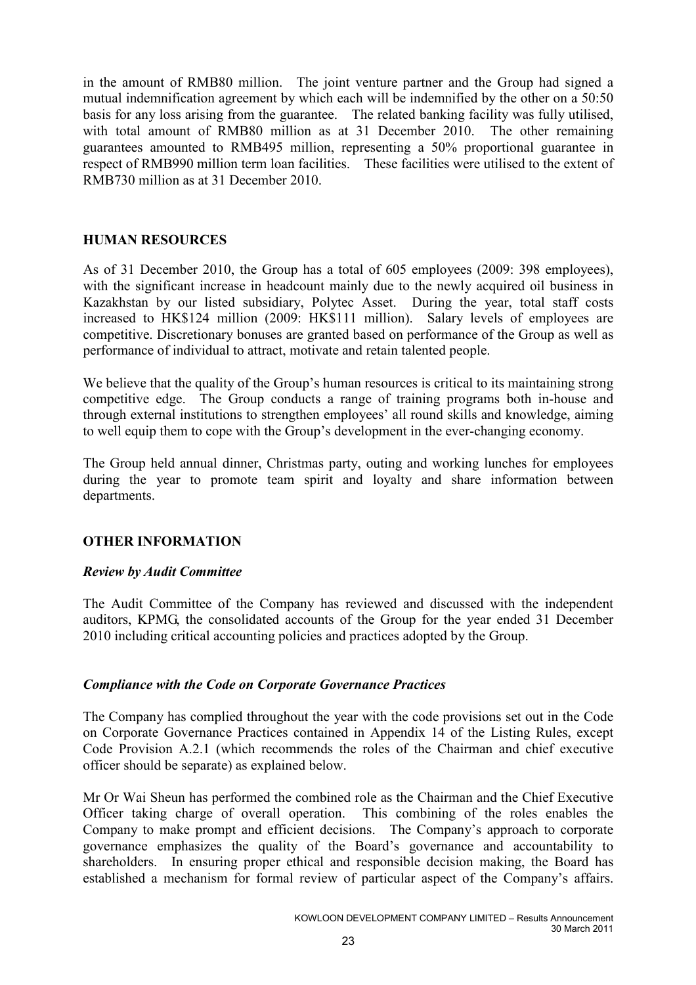in the amount of RMB80 million. The joint venture partner and the Group had signed a mutual indemnification agreement by which each will be indemnified by the other on a 50:50 basis for any loss arising from the guarantee. The related banking facility was fully utilised, with total amount of RMB80 million as at 31 December 2010. The other remaining guarantees amounted to RMB495 million, representing a 50% proportional guarantee in respect of RMB990 million term loan facilities. These facilities were utilised to the extent of RMB730 million as at 31 December 2010.

# HUMAN RESOURCES

As of 31 December 2010, the Group has a total of 605 employees (2009: 398 employees), with the significant increase in headcount mainly due to the newly acquired oil business in Kazakhstan by our listed subsidiary, Polytec Asset. During the year, total staff costs increased to HK\$124 million (2009: HK\$111 million). Salary levels of employees are competitive. Discretionary bonuses are granted based on performance of the Group as well as performance of individual to attract, motivate and retain talented people.

We believe that the quality of the Group's human resources is critical to its maintaining strong competitive edge. The Group conducts a range of training programs both in-house and through external institutions to strengthen employees' all round skills and knowledge, aiming to well equip them to cope with the Group's development in the ever-changing economy.

The Group held annual dinner, Christmas party, outing and working lunches for employees during the year to promote team spirit and loyalty and share information between departments.

# OTHER INFORMATION

# Review by Audit Committee

The Audit Committee of the Company has reviewed and discussed with the independent auditors, KPMG, the consolidated accounts of the Group for the year ended 31 December 2010 including critical accounting policies and practices adopted by the Group.

# Compliance with the Code on Corporate Governance Practices

The Company has complied throughout the year with the code provisions set out in the Code on Corporate Governance Practices contained in Appendix 14 of the Listing Rules, except Code Provision A.2.1 (which recommends the roles of the Chairman and chief executive officer should be separate) as explained below.

Mr Or Wai Sheun has performed the combined role as the Chairman and the Chief Executive Officer taking charge of overall operation. This combining of the roles enables the Company to make prompt and efficient decisions. The Company's approach to corporate governance emphasizes the quality of the Board's governance and accountability to shareholders. In ensuring proper ethical and responsible decision making, the Board has established a mechanism for formal review of particular aspect of the Company's affairs.